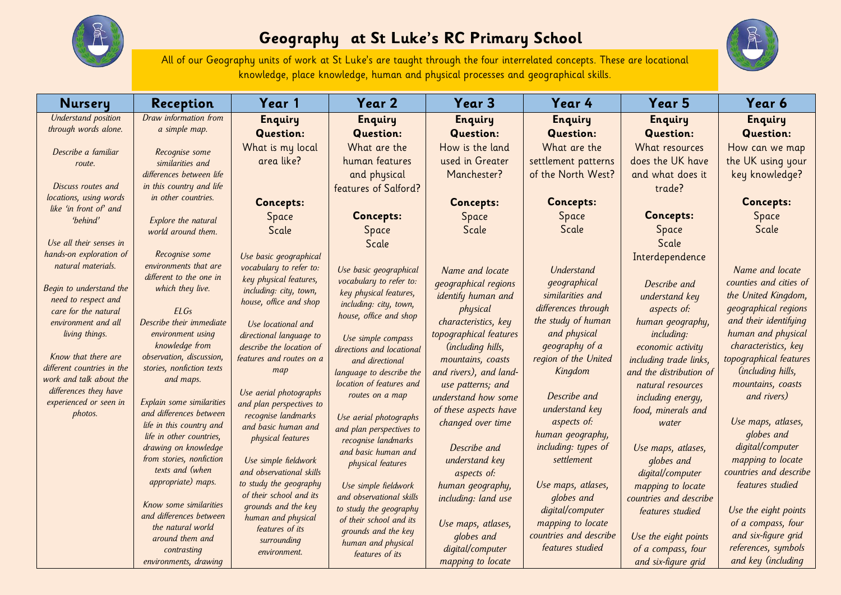

## **Geography at St Luke's RC Primary School**



All of our Geography units of work at St Luke's are taught through the four interrelated concepts. These are locational knowledge, place knowledge, human and physical processes and geographical skills.

| <b>Nursery</b>                                    | Reception                                             | Year 1                                    | Year 2                                    | Year 3                                     | Year 4                        | Year 5                  | Year 6                      |
|---------------------------------------------------|-------------------------------------------------------|-------------------------------------------|-------------------------------------------|--------------------------------------------|-------------------------------|-------------------------|-----------------------------|
| Understand position                               | Draw information from                                 | <b>Enquiry</b>                            | <b>Enquiry</b>                            | <b>Enquiry</b>                             | <b>Enquiry</b>                | <b>Enquiry</b>          | <b>Enquiry</b>              |
| through words alone.                              | a simple map.                                         | <b>Question:</b>                          | <b>Question:</b>                          | <b>Question:</b>                           | <b>Question:</b>              | <b>Question:</b>        | <b>Question:</b>            |
| Describe a familiar                               | Recognise some                                        | What is my local                          | What are the                              | How is the land                            | What are the                  | What resources          | How can we map              |
| route.                                            | similarities and                                      | area like?                                | human features                            | used in Greater                            | settlement patterns           | does the UK have        | the UK using your           |
|                                                   | differences between life                              |                                           | and physical                              | Manchester?                                | of the North West?            | and what does it        | key knowledge?              |
| Discuss routes and                                | in this country and life                              |                                           | features of Salford?                      |                                            |                               | trade?                  |                             |
| locations, using words                            | in other countries.                                   | <b>Concepts:</b>                          |                                           | <b>Concepts:</b>                           | <b>Concepts:</b>              |                         | <b>Concepts:</b>            |
| like 'in front of' and<br>'behind'                | Explore the natural                                   | Space                                     | <b>Concepts:</b>                          | Space                                      | Space                         | <b>Concepts:</b>        | Space                       |
|                                                   | world around them.                                    | Scale                                     | Space                                     | Scale                                      | Scale                         | Space                   | Scale                       |
| Use all their senses in                           |                                                       |                                           | Scale                                     |                                            |                               | Scale                   |                             |
| hands-on exploration of                           | Recognise some                                        | Use basic geographical                    |                                           |                                            |                               | Interdependence         |                             |
| natural materials.                                | environments that are                                 | vocabulary to refer to:                   | Use basic geographical                    | Name and locate                            | Understand                    |                         | Name and locate             |
|                                                   | different to the one in                               | key physical features,                    | vocabulary to refer to:                   | <i>geographical regions</i>                | qeographical                  | Describe and            | counties and cities of      |
| Begin to understand the<br>need to respect and    | which they live.                                      | including: city, town,                    | key physical features,                    | identify human and                         | similarities and              | understand key          | the United Kingdom,         |
| care for the natural                              | ELGs                                                  | house, office and shop                    | including: city, town,                    | physical                                   | differences through           | aspects of:             | <i>geographical regions</i> |
| environment and all                               | Describe their immediate                              | Use locational and                        | house, office and shop                    | characteristics, key                       | the study of human            | human geography,        | and their identifying       |
| living things.                                    | environment using                                     | directional language to                   | Use simple compass                        | topographical features                     | and physical                  | including:              | human and physical          |
|                                                   | knowledge from                                        | describe the location of                  | directions and locational                 | (including hills,                          | geography of a                | economic activity       | characteristics, key        |
| Know that there are<br>different countries in the | observation, discussion,<br>stories, nonfiction texts | features and routes on a                  | and directional                           | mountains, coasts                          | region of the United          | including trade links,  | topographical features      |
| work and talk about the                           | and maps.                                             | map                                       | language to describe the                  | and rivers), and land-                     | Kingdom                       | and the distribution of | (including hills,           |
| differences they have                             |                                                       | Use aerial photographs                    | location of features and                  | use patterns; and                          |                               | natural resources       | mountains, coasts           |
| experienced or seen in                            | Explain some similarities                             | and plan perspectives to                  | routes on a map                           | understand how some                        | Describe and                  | including energy,       | and rivers)                 |
| photos.                                           | and differences between                               | recognise landmarks                       | Use aerial photographs                    | of these aspects have<br>changed over time | understand key<br>aspects of: | food, minerals and      | Use maps, atlases,          |
|                                                   | life in this country and<br>life in other countries,  | and basic human and                       | and plan perspectives to                  |                                            | human geography,              | water                   | globes and                  |
|                                                   | drawing on knowledge                                  | physical features                         | recognise landmarks                       | Describe and                               | including: types of           | Use maps, atlases,      | digital/computer            |
|                                                   | from stories, nonfiction                              | Use simple fieldwork                      | and basic human and<br>physical features  | understand key                             | settlement                    | globes and              | mapping to locate           |
|                                                   | texts and (when                                       | and observational skills                  |                                           | aspects of:                                |                               | digital/computer        | countries and describe      |
|                                                   | appropriate) maps.                                    | to study the geography                    | Use simple fieldwork                      | human geography,                           | Use maps, atlases,            | mapping to locate       | features studied            |
|                                                   |                                                       | of their school and its                   | and observational skills                  | including: land use                        | globes and                    | countries and describe  |                             |
|                                                   | Know some similarities<br>and differences between     | grounds and the key<br>human and physical | to study the geography                    |                                            | digital/computer              | features studied        | Use the eight points        |
|                                                   | the natural world                                     | features of its                           | of their school and its                   | Use maps, atlases,                         | mapping to locate             |                         | of a compass, four          |
|                                                   | around them and                                       | surrounding                               | grounds and the key<br>human and physical | globes and                                 | countries and describe        | Use the eight points    | and six-figure grid         |
|                                                   | contrasting                                           | environment.                              | features of its                           | digital/computer                           | features studied              | of a compass, four      | references, symbols         |
|                                                   | environments, drawing                                 |                                           |                                           | mapping to locate                          |                               | and six-figure grid     | and key (including          |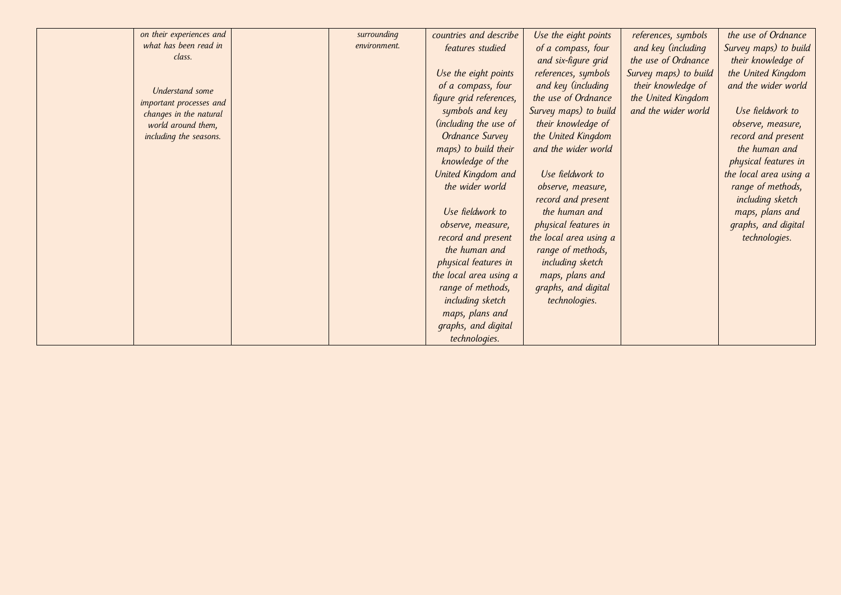| on their experiences and | surrounding  | countries and describe  | Use the eight points   | references, symbols   | the use of Ordnance    |
|--------------------------|--------------|-------------------------|------------------------|-----------------------|------------------------|
| what has been read in    | environment. | features studied        | of a compass, four     | and key (including    | Survey maps) to build  |
| class.                   |              |                         | and six-figure grid    | the use of Ordnance   | their knowledge of     |
|                          |              | Use the eight points    | references, symbols    | Survey maps) to build | the United Kingdom     |
| <b>Understand</b> some   |              | of a compass, four      | and key (including     | their knowledge of    | and the wider world    |
| important processes and  |              | figure grid references, | the use of Ordnance    | the United Kingdom    |                        |
| changes in the natural   |              | symbols and key         | Survey maps) to build  | and the wider world   | Use fieldwork to       |
| world around them,       |              | (including the use of   | their knowledge of     |                       | observe, measure,      |
| including the seasons.   |              | <b>Ordnance Survey</b>  | the United Kingdom     |                       | record and present     |
|                          |              | maps) to build their    | and the wider world    |                       | the human and          |
|                          |              | knowledge of the        |                        |                       | physical features in   |
|                          |              | United Kingdom and      | Use fieldwork to       |                       | the local area using a |
|                          |              | the wider world         | observe, measure,      |                       | range of methods,      |
|                          |              |                         | record and present     |                       | including sketch       |
|                          |              | Use fieldwork to        | the human and          |                       | maps, plans and        |
|                          |              | observe, measure,       | physical features in   |                       | graphs, and digital    |
|                          |              | record and present      | the local area using a |                       | technologies.          |
|                          |              | the human and           | range of methods,      |                       |                        |
|                          |              | physical features in    | including sketch       |                       |                        |
|                          |              | the local area using a  | maps, plans and        |                       |                        |
|                          |              | range of methods,       | graphs, and digital    |                       |                        |
|                          |              | including sketch        | technologies.          |                       |                        |
|                          |              | maps, plans and         |                        |                       |                        |
|                          |              | graphs, and digital     |                        |                       |                        |
|                          |              | technologies.           |                        |                       |                        |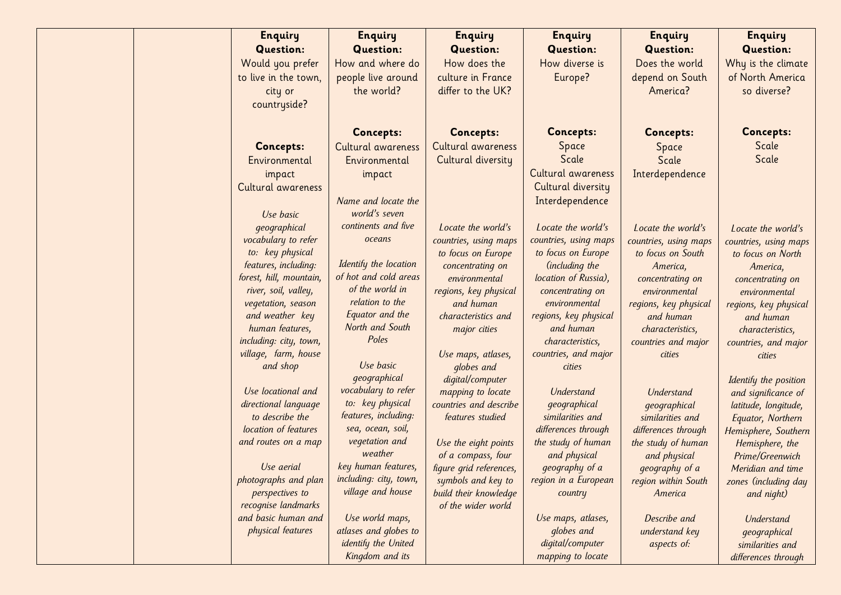| <b>Enquiry</b>                          | <b>Enquiry</b>                           | <b>Enquiry</b>          | <b>Enquiry</b>                   | <b>Enquiry</b>                            | <b>Enquiry</b>                     |
|-----------------------------------------|------------------------------------------|-------------------------|----------------------------------|-------------------------------------------|------------------------------------|
| <b>Question:</b>                        | <b>Question:</b>                         | <b>Question:</b>        | <b>Question:</b>                 | <b>Question:</b>                          | <b>Question:</b>                   |
| Would you prefer                        | How and where do                         | How does the            | How diverse is                   | Does the world                            | Why is the climate                 |
| to live in the town,                    | people live around                       | culture in France       | Europe?                          | depend on South                           | of North America                   |
| city or                                 | the world?                               | differ to the UK?       |                                  | America?                                  | so diverse?                        |
| countryside?                            |                                          |                         |                                  |                                           |                                    |
|                                         |                                          |                         |                                  |                                           |                                    |
|                                         | <b>Concepts:</b>                         | <b>Concepts:</b>        | <b>Concepts:</b>                 | <b>Concepts:</b>                          | <b>Concepts:</b>                   |
| <b>Concepts:</b>                        | Cultural awareness                       | Cultural awareness      | Space                            | Space                                     | Scale                              |
| Environmental                           | Environmental                            | Cultural diversity      | Scale                            | Scale                                     | Scale                              |
| impact                                  | impact                                   |                         | Cultural awareness               | Interdependence                           |                                    |
| Cultural awareness                      |                                          |                         | Cultural diversity               |                                           |                                    |
|                                         | Name and locate the                      |                         | Interdependence                  |                                           |                                    |
| Use basic                               | world's seven                            |                         |                                  |                                           |                                    |
| qeographical                            | continents and five                      | Locate the world's      | Locate the world's               | Locate the world's                        | Locate the world's                 |
| vocabulary to refer                     | oceans                                   | countries, using maps   | countries, using maps            | countries, using maps                     | countries, using maps              |
| to: key physical                        |                                          | to focus on Europe      | to focus on Europe               | to focus on South                         | to focus on North                  |
| features, including:                    | Identify the location                    | concentrating on        | (including the                   | America,                                  | America,                           |
| forest, hill, mountain,                 | of hot and cold areas                    | environmental           | location of Russia),             | concentrating on                          | concentrating on                   |
| river, soil, valley,                    | of the world in                          | regions, key physical   | concentrating on                 | environmental                             | environmental                      |
| vegetation, season                      | relation to the                          | and human               | environmental                    | regions, key physical                     | regions, key physical              |
| and weather key                         | Equator and the                          | characteristics and     | regions, key physical            | and human                                 | and human                          |
| human features,                         | North and South                          | major cities            | and human                        | characteristics,                          | characteristics,                   |
| including: city, town,                  | Poles                                    |                         | characteristics,                 | countries and major                       | countries, and major               |
| village, farm, house                    |                                          | Use maps, atlases,      | countries, and major             | cities                                    | cities                             |
| and shop                                | Use basic                                | globes and              | cities                           |                                           |                                    |
|                                         | qeographical                             | digital/computer        |                                  |                                           | Identify the position              |
| Use locational and                      | vocabulary to refer                      | mapping to locate       | <b>Understand</b>                | <b>Understand</b>                         | and significance of                |
| directional language<br>to describe the | to: key physical<br>features, including: | countries and describe  | qeographical<br>similarities and | qeographical                              | latitude, longitude,               |
| location of features                    | sea, ocean, soil,                        | features studied        | differences through              | similarities and                          | Equator, Northern                  |
| and routes on a map                     | vegetation and                           | Use the eight points    | the study of human               | differences through<br>the study of human | Hemisphere, Southern               |
|                                         | weather                                  | of a compass, four      | and physical                     | and physical                              | Hemisphere, the<br>Prime/Greenwich |
| Use aerial                              | key human features,                      | figure grid references, | geography of a                   | geography of a                            | Meridian and time                  |
| photographs and plan                    | including: city, town,                   | symbols and key to      | region in a European             | region within South                       | zones (including day               |
| perspectives to                         | village and house                        | build their knowledge   | country                          | America                                   | and night)                         |
| recognise landmarks                     |                                          | of the wider world      |                                  |                                           |                                    |
| and basic human and                     | Use world maps,                          |                         | Use maps, atlases,               | Describe and                              | Understand                         |
| physical features                       | atlases and globes to                    |                         | globes and                       | understand key                            | geographical                       |
|                                         | identify the United                      |                         | digital/computer                 | aspects of:                               | similarities and                   |
|                                         | Kingdom and its                          |                         | mapping to locate                |                                           | differences through                |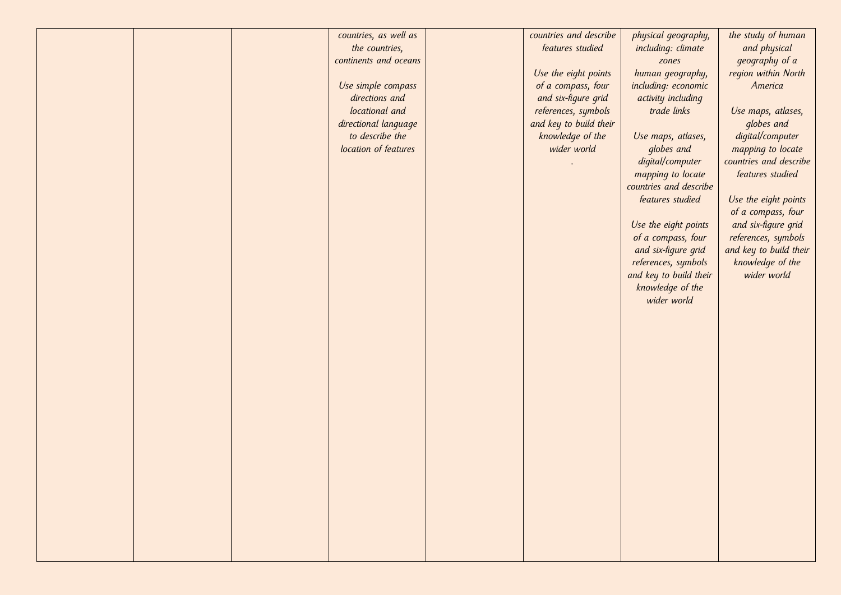| countries, as well as<br>the countries,<br>continents and oceans<br>Use simple compass<br>directions and<br>locational and<br>directional language<br>to describe the<br>location of features | countries and describe<br>features studied<br>Use the eight points<br>of a compass, four<br>and six-figure grid<br>references, symbols<br>and key to build their<br>knowledge of the<br>wider world | physical geography,<br>including: climate<br>zones<br>human geography,<br>including: economic<br>activity including<br>trade links<br>Use maps, atlases,<br>globes and<br>digital/computer<br>mapping to locate<br>countries and describe<br>features studied<br>Use the eight points<br>of a compass, four<br>and six-figure grid<br>references, symbols<br>and key to build their<br>knowledge of the<br>wider world | the study of human<br>and physical<br>geography of a<br>region within North<br>America<br>Use maps, atlases,<br>globes and<br>digital/computer<br>mapping to locate<br>countries and describe<br>features studied<br>Use the eight points<br>of a compass, four<br>and six-figure grid<br>references, symbols<br>and key to build their<br>knowledge of the<br>wider world |
|-----------------------------------------------------------------------------------------------------------------------------------------------------------------------------------------------|-----------------------------------------------------------------------------------------------------------------------------------------------------------------------------------------------------|------------------------------------------------------------------------------------------------------------------------------------------------------------------------------------------------------------------------------------------------------------------------------------------------------------------------------------------------------------------------------------------------------------------------|----------------------------------------------------------------------------------------------------------------------------------------------------------------------------------------------------------------------------------------------------------------------------------------------------------------------------------------------------------------------------|
|                                                                                                                                                                                               |                                                                                                                                                                                                     |                                                                                                                                                                                                                                                                                                                                                                                                                        |                                                                                                                                                                                                                                                                                                                                                                            |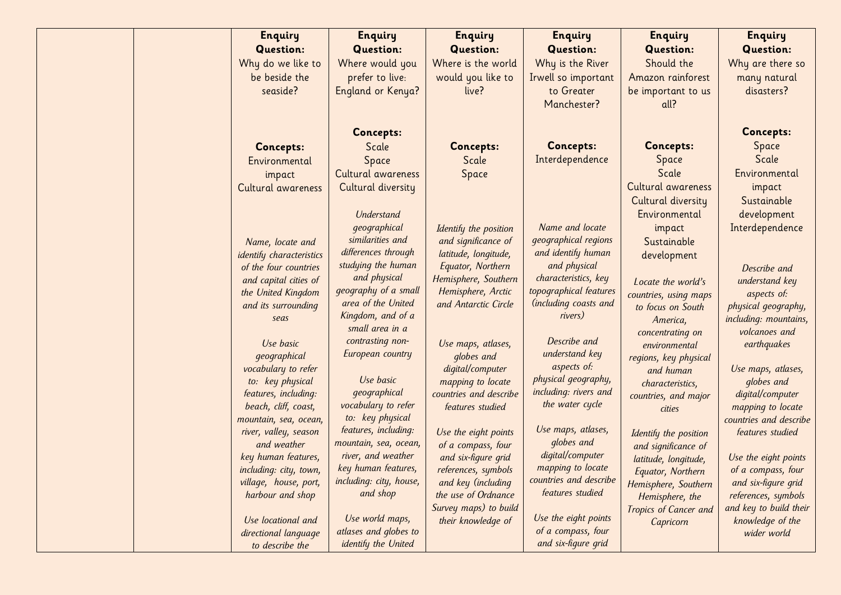| <b>Enquiry</b>                          | <b>Enquiry</b>                       | <b>Enquiry</b>                        | <b>Enquiry</b>         | <b>Enquiry</b>                           | <b>Enquiry</b>                   |
|-----------------------------------------|--------------------------------------|---------------------------------------|------------------------|------------------------------------------|----------------------------------|
| <b>Question:</b>                        | <b>Question:</b>                     | <b>Question:</b>                      | <b>Question:</b>       | <b>Question:</b>                         | <b>Question:</b>                 |
| Why do we like to                       | Where would you                      | Where is the world                    | Why is the River       | Should the                               | Why are there so                 |
| be beside the                           | prefer to live:                      | would you like to                     | Irwell so important    | Amazon rainforest                        | many natural                     |
| seaside?                                | England or Kenya?                    | live?                                 | to Greater             | be important to us                       | disasters?                       |
|                                         |                                      |                                       | Manchester?            | all?                                     |                                  |
|                                         |                                      |                                       |                        |                                          |                                  |
|                                         | <b>Concepts:</b>                     |                                       |                        |                                          | <b>Concepts:</b>                 |
| <b>Concepts:</b>                        | Scale                                | <b>Concepts:</b>                      | <b>Concepts:</b>       | <b>Concepts:</b>                         | Space                            |
| Environmental                           | Space                                | Scale                                 | Interdependence        | Space                                    | Scale                            |
| impact                                  | Cultural awareness                   | Space                                 |                        | Scale                                    | Environmental                    |
| Cultural awareness                      | Cultural diversity                   |                                       |                        | Cultural awareness                       | impact                           |
|                                         |                                      |                                       |                        | Cultural diversity                       | Sustainable                      |
|                                         | <b>Understand</b>                    |                                       |                        | Environmental                            | development                      |
|                                         | qeographical                         | Identify the position                 | Name and locate        | impact                                   | Interdependence                  |
| Name, locate and                        | similarities and                     | and significance of                   | geographical regions   | Sustainable                              |                                  |
| identify characteristics                | differences through                  | latitude, longitude,                  | and identify human     | development                              |                                  |
| of the four countries                   | studying the human                   | Equator, Northern                     | and physical           |                                          | Describe and                     |
| and capital cities of                   | and physical                         | Hemisphere, Southern                  | characteristics, key   | Locate the world's                       | understand key                   |
| the United Kingdom                      | geography of a small                 | Hemisphere, Arctic                    | topographical features | countries, using maps                    | aspects of:                      |
| and its surrounding                     | area of the United                   | and Antarctic Circle                  | (including coasts and  | to focus on South                        | physical geography,              |
| seas                                    | Kingdom, and of a<br>small area in a |                                       | rivers)                | America,                                 | including: mountains,            |
|                                         | contrasting non-                     |                                       | Describe and           | concentrating on                         | volcanoes and                    |
| Use basic                               | European country                     | Use maps, atlases,                    | understand key         | environmental                            | earthquakes                      |
| geographical                            |                                      | globes and                            | aspects of:            | regions, key physical                    |                                  |
| vocabulary to refer<br>to: key physical | Use basic                            | digital/computer<br>mapping to locate | physical geography,    | and human                                | Use maps, atlases,<br>globes and |
| features, including:                    | geographical                         | countries and describe                | including: rivers and  | characteristics,<br>countries, and major | digital/computer                 |
| beach, cliff, coast,                    | vocabulary to refer                  | features studied                      | the water cycle        | cities                                   | mapping to locate                |
| mountain, sea, ocean,                   | to: key physical                     |                                       |                        |                                          | countries and describe           |
| river, valley, season                   | features, including:                 | Use the eight points                  | Use maps, atlases,     | Identify the position                    | features studied                 |
| and weather                             | mountain, sea, ocean,                | of a compass, four                    | globes and             | and significance of                      |                                  |
| key human features,                     | river, and weather                   | and six-figure grid                   | digital/computer       | latitude, longitude,                     | Use the eight points             |
| including: city, town,                  | key human features,                  | references, symbols                   | mapping to locate      | Equator, Northern                        | of a compass, four               |
| village, house, port,                   | including: city, house,              | and key (including                    | countries and describe | Hemisphere, Southern                     | and six-figure grid              |
| harbour and shop                        | and shop                             | the use of Ordnance                   | features studied       | Hemisphere, the                          | references, symbols              |
|                                         | Use world maps,                      | Survey maps) to build                 | Use the eight points   | Tropics of Cancer and                    | and key to build their           |
| Use locational and                      | atlases and globes to                | their knowledge of                    | of a compass, four     | Capricorn                                | knowledge of the                 |
| directional language                    |                                      |                                       |                        |                                          | wider world                      |
| to describe the                         | identify the United                  |                                       | and six-figure grid    |                                          |                                  |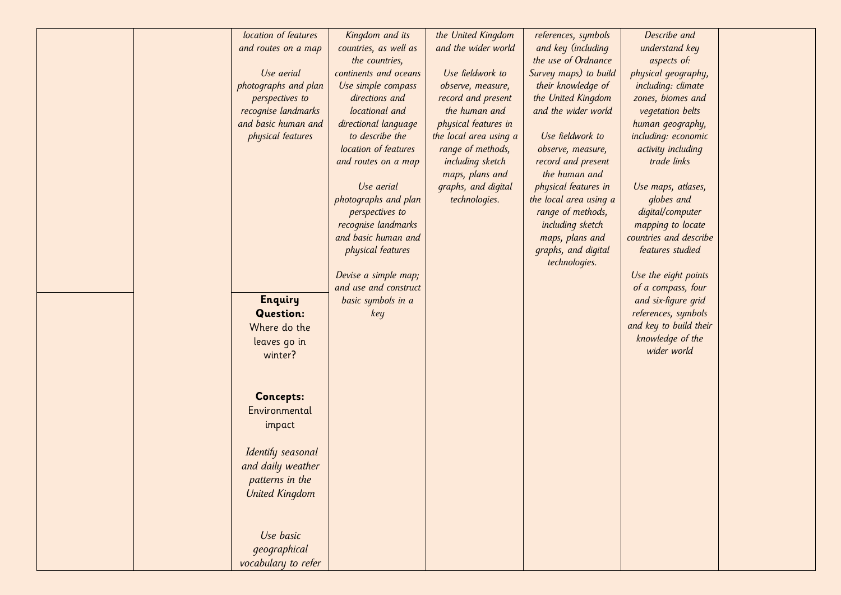|  | location of features<br>and routes on a map<br>Use aerial<br>photographs and plan<br>perspectives to<br>recognise landmarks<br>and basic human and<br>physical features<br><b>Enquiry</b> | Kingdom and its<br>countries, as well as<br>the countries,<br>continents and oceans<br>Use simple compass<br>directions and<br>locational and<br>directional language<br>to describe the<br>location of features<br>and routes on a map<br>Use aerial<br>photographs and plan<br>perspectives to<br>recognise landmarks<br>and basic human and<br>physical features<br>Devise a simple map;<br>and use and construct<br>basic symbols in a | the United Kingdom<br>and the wider world<br>Use fieldwork to<br>observe, measure,<br>record and present<br>the human and<br>physical features in<br>the local area using a<br>range of methods,<br>including sketch<br>maps, plans and<br>graphs, and digital<br>technologies. | references, symbols<br>and key (including<br>the use of Ordnance<br>Survey maps) to build<br>their knowledge of<br>the United Kingdom<br>and the wider world<br>Use fieldwork to<br>observe, measure,<br>record and present<br>the human and<br>physical features in<br>the local area using a<br>range of methods,<br>including sketch<br>maps, plans and<br>graphs, and digital<br>technologies. | Describe and<br>understand key<br>aspects of:<br>physical geography,<br>including: climate<br>zones, biomes and<br>vegetation belts<br>human geography,<br>including: economic<br>activity including<br>trade links<br>Use maps, atlases,<br>globes and<br>digital/computer<br>mapping to locate<br>countries and describe<br>features studied<br>Use the eight points<br>of a compass, four<br>and six-figure grid |  |
|--|-------------------------------------------------------------------------------------------------------------------------------------------------------------------------------------------|--------------------------------------------------------------------------------------------------------------------------------------------------------------------------------------------------------------------------------------------------------------------------------------------------------------------------------------------------------------------------------------------------------------------------------------------|---------------------------------------------------------------------------------------------------------------------------------------------------------------------------------------------------------------------------------------------------------------------------------|----------------------------------------------------------------------------------------------------------------------------------------------------------------------------------------------------------------------------------------------------------------------------------------------------------------------------------------------------------------------------------------------------|---------------------------------------------------------------------------------------------------------------------------------------------------------------------------------------------------------------------------------------------------------------------------------------------------------------------------------------------------------------------------------------------------------------------|--|
|  | <b>Question:</b><br>Where do the<br>leaves go in<br>winter?<br><b>Concepts:</b><br>Environmental<br>impact<br>Identify seasonal                                                           | key                                                                                                                                                                                                                                                                                                                                                                                                                                        |                                                                                                                                                                                                                                                                                 |                                                                                                                                                                                                                                                                                                                                                                                                    | references, symbols<br>and key to build their<br>knowledge of the<br>wider world                                                                                                                                                                                                                                                                                                                                    |  |
|  | and daily weather<br>patterns in the<br><b>United Kingdom</b><br>Use basic<br>geographical<br>vocabulary to refer                                                                         |                                                                                                                                                                                                                                                                                                                                                                                                                                            |                                                                                                                                                                                                                                                                                 |                                                                                                                                                                                                                                                                                                                                                                                                    |                                                                                                                                                                                                                                                                                                                                                                                                                     |  |